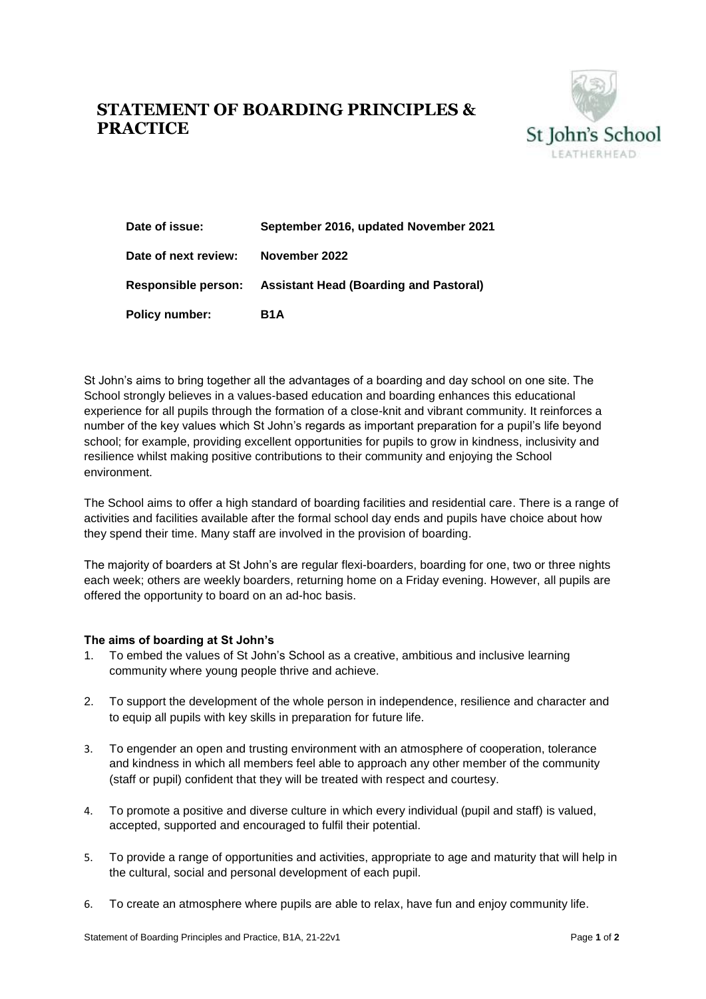## **STATEMENT OF BOARDING PRINCIPLES & PRACTICE**



| Date of issue:             | September 2016, updated November 2021         |
|----------------------------|-----------------------------------------------|
| Date of next review:       | November 2022                                 |
| <b>Responsible person:</b> | <b>Assistant Head (Boarding and Pastoral)</b> |
| <b>Policy number:</b>      | B <sub>1</sub> A                              |

St John's aims to bring together all the advantages of a boarding and day school on one site. The School strongly believes in a values-based education and boarding enhances this educational experience for all pupils through the formation of a close-knit and vibrant community. It reinforces a number of the key values which St John's regards as important preparation for a pupil's life beyond school; for example, providing excellent opportunities for pupils to grow in kindness, inclusivity and resilience whilst making positive contributions to their community and enjoying the School environment.

The School aims to offer a high standard of boarding facilities and residential care. There is a range of activities and facilities available after the formal school day ends and pupils have choice about how they spend their time. Many staff are involved in the provision of boarding.

The majority of boarders at St John's are regular flexi-boarders, boarding for one, two or three nights each week; others are weekly boarders, returning home on a Friday evening. However, all pupils are offered the opportunity to board on an ad-hoc basis.

## **The aims of boarding at St John's**

- 1. To embed the values of St John's School as a creative, ambitious and inclusive learning community where young people thrive and achieve.
- 2. To support the development of the whole person in independence, resilience and character and to equip all pupils with key skills in preparation for future life.
- 3. To engender an open and trusting environment with an atmosphere of cooperation, tolerance and kindness in which all members feel able to approach any other member of the community (staff or pupil) confident that they will be treated with respect and courtesy.
- 4. To promote a positive and diverse culture in which every individual (pupil and staff) is valued, accepted, supported and encouraged to fulfil their potential.
- 5. To provide a range of opportunities and activities, appropriate to age and maturity that will help in the cultural, social and personal development of each pupil.
- 6. To create an atmosphere where pupils are able to relax, have fun and enjoy community life.